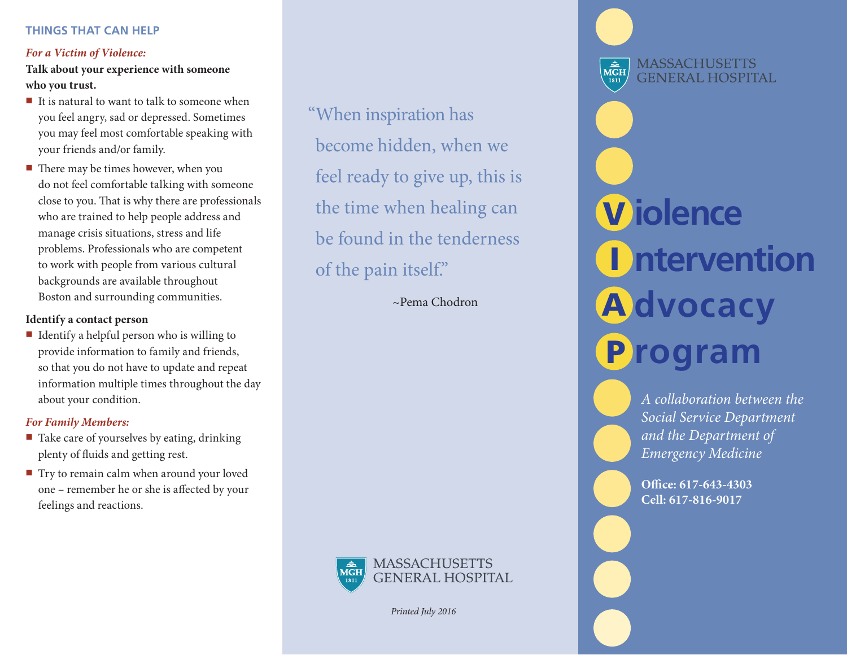#### *For a Victim of Violence:*

**Talk about your experience with someone who you trust.**

- $\blacksquare$  It is natural to want to talk to someone when you feel angry, sad or depressed. Sometimes you may feel most comfortable speaking with your friends and/or family.
- $\blacksquare$  There may be times however, when you do not feel comfortable talking with someone close to you. That is why there are professionals who are trained to help people address and manage crisis situations, stress and life problems. Professionals who are competent to work with people from various cultural backgrounds are available throughout Boston and surrounding communities.

#### **Identify a contact person**

 $\blacksquare$  Identify a helpful person who is willing to provide information to family and friends, so that you do not have to update and repeat information multiple times throughout the day about your condition.

#### *For Family Members:*

- $\blacksquare$  Take care of yourselves by eating, drinking plenty of fluids and getting rest.
- Try to remain calm when around your loved one – remember he or she is affected by your feelings and reactions.

"When inspiration has become hidden, when we feel ready to give up, this is the time when healing can be found in the tenderness of the pain itself."

~Pema Chodron



*Printed July 2016*

**MASSACHUSETTS**  $\overbrace{\text{MGH}}^{\text{th}}$ **GENERAL HOSPITAL iolence** V **ntervention A**dvocacy **rogram** P

> *A collaboration between the Social Service Department and the Department of Emergency Medicine*

**Office: 617-643-4303 Cell: 617-816-9017**